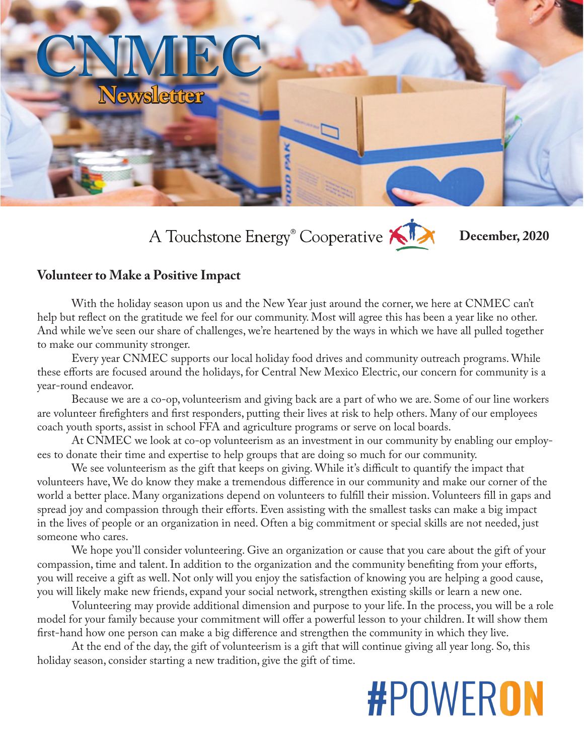## **Newsletter CNMEC**

A Touchstone Energy<sup>®</sup> Cooperative

**December, 2020**

#### **Volunteer to Make a Positive Impact**

With the holiday season upon us and the New Year just around the corner, we here at CNMEC can't help but reflect on the gratitude we feel for our community. Most will agree this has been a year like no other. And while we've seen our share of challenges, we're heartened by the ways in which we have all pulled together to make our community stronger.

Every year CNMEC supports our local holiday food drives and community outreach programs. While these efforts are focused around the holidays, for Central New Mexico Electric, our concern for community is a year-round endeavor.

Because we are a co-op, volunteerism and giving back are a part of who we are. Some of our line workers are volunteer firefighters and first responders, putting their lives at risk to help others. Many of our employees coach youth sports, assist in school FFA and agriculture programs or serve on local boards.

At CNMEC we look at co-op volunteerism as an investment in our community by enabling our employees to donate their time and expertise to help groups that are doing so much for our community.

We see volunteerism as the gift that keeps on giving. While it's difficult to quantify the impact that volunteers have, We do know they make a tremendous difference in our community and make our corner of the world a better place. Many organizations depend on volunteers to fulfill their mission. Volunteers fill in gaps and spread joy and compassion through their efforts. Even assisting with the smallest tasks can make a big impact in the lives of people or an organization in need. Often a big commitment or special skills are not needed, just someone who cares.

We hope you'll consider volunteering. Give an organization or cause that you care about the gift of your compassion, time and talent. In addition to the organization and the community benefiting from your efforts, you will receive a gift as well. Not only will you enjoy the satisfaction of knowing you are helping a good cause, you will likely make new friends, expand your social network, strengthen existing skills or learn a new one.

Volunteering may provide additional dimension and purpose to your life. In the process, you will be a role model for your family because your commitment will offer a powerful lesson to your children. It will show them first-hand how one person can make a big difference and strengthen the community in which they live.

At the end of the day, the gift of volunteerism is a gift that will continue giving all year long. So, this holiday season, consider starting a new tradition, give the gift of time.

# **#POWERON**